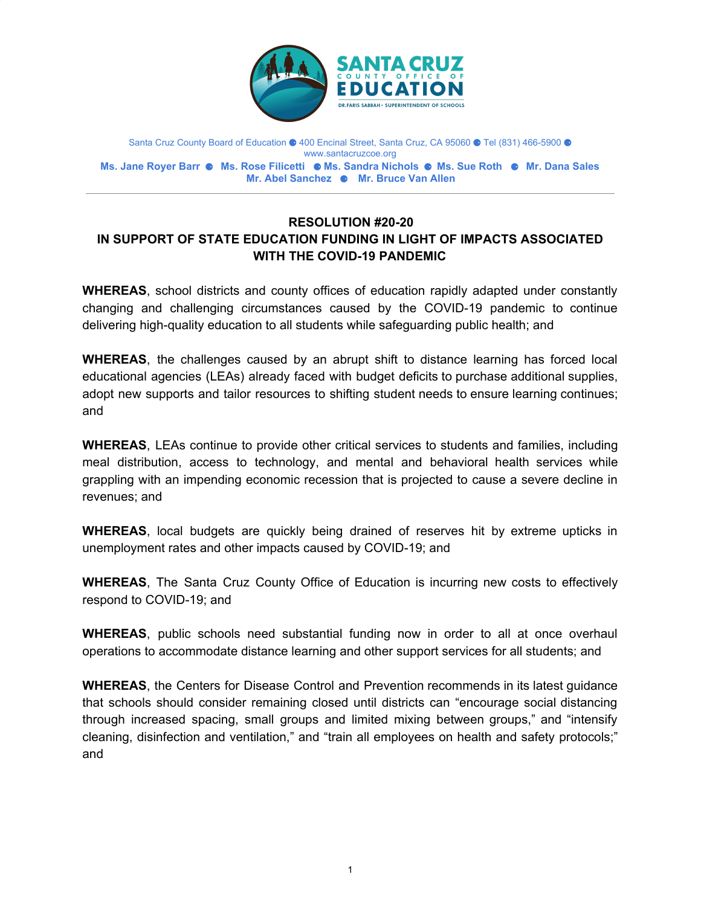

Santa Cruz County Board of Education ● 400 Encinal Street, Santa Cruz, CA 95060 ● Tel (831) 466-5900 ● www.santacruzcoe.org **Ms. Jane Royer Barr** ⚈ **Ms. Rose Filicetti** ⚈ **Ms. Sandra Nichols** ⚈ **Ms. Sue Roth** ⚈ **Mr. Dana Sales Mr. Abel Sanchez** ⚈ **Mr. Bruce Van Allen**

## **RESOLUTION #20-20 IN SUPPORT OF STATE EDUCATION FUNDING IN LIGHT OF IMPACTS ASSOCIATED WITH THE COVID-19 PANDEMIC**

**WHEREAS**, school districts and county offices of education rapidly adapted under constantly changing and challenging circumstances caused by the COVID-19 pandemic to continue delivering high-quality education to all students while safeguarding public health; and

**WHEREAS**, the challenges caused by an abrupt shift to distance learning has forced local educational agencies (LEAs) already faced with budget deficits to purchase additional supplies, adopt new supports and tailor resources to shifting student needs to ensure learning continues; and

**WHEREAS**, LEAs continue to provide other critical services to students and families, including meal distribution, access to technology, and mental and behavioral health services while grappling with an impending economic recession that is projected to cause a severe decline in revenues; and

**WHEREAS**, local budgets are quickly being drained of reserves hit by extreme upticks in unemployment rates and other impacts caused by COVID-19; and

**WHEREAS**, The Santa Cruz County Office of Education is incurring new costs to effectively respond to COVID-19; and

**WHEREAS**, public schools need substantial funding now in order to all at once overhaul operations to accommodate distance learning and other support services for all students; and

**WHEREAS**, the Centers for Disease Control and Prevention recommends in its latest guidance that schools should consider remaining closed until districts can "encourage social distancing through increased spacing, small groups and limited mixing between groups," and "intensify cleaning, disinfection and ventilation," and "train all employees on health and safety protocols;" and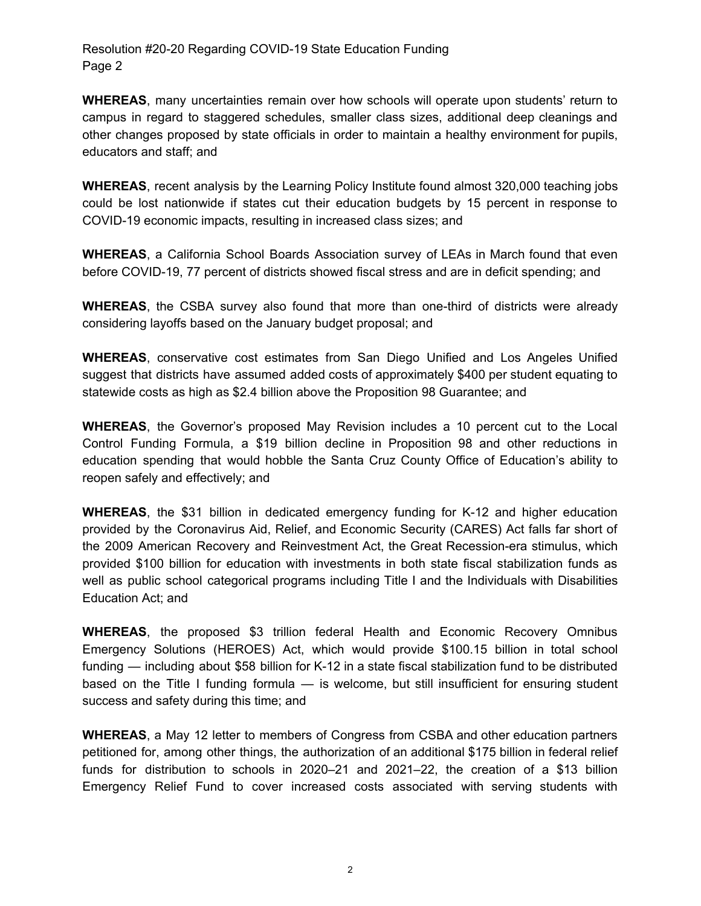Resolution #20-20 Regarding COVID-19 State Education Funding Page 2

**WHEREAS**, many uncertainties remain over how schools will operate upon students' return to campus in regard to staggered schedules, smaller class sizes, additional deep cleanings and other changes proposed by state officials in order to maintain a healthy environment for pupils, educators and staff; and

**WHEREAS**, recent analysis by the Learning Policy Institute found almost 320,000 teaching jobs could be lost nationwide if states cut their education budgets by 15 percent in response to COVID-19 economic impacts, resulting in increased class sizes; and

**WHEREAS**, a California School Boards Association survey of LEAs in March found that even before COVID-19, 77 percent of districts showed fiscal stress and are in deficit spending; and

**WHEREAS**, the CSBA survey also found that more than one-third of districts were already considering layoffs based on the January budget proposal; and

**WHEREAS**, conservative cost estimates from San Diego Unified and Los Angeles Unified suggest that districts have assumed added costs of approximately \$400 per student equating to statewide costs as high as \$2.4 billion above the Proposition 98 Guarantee; and

**WHEREAS**, the Governor's proposed May Revision includes a 10 percent cut to the Local Control Funding Formula, a \$19 billion decline in Proposition 98 and other reductions in education spending that would hobble the Santa Cruz County Office of Education's ability to reopen safely and effectively; and

**WHEREAS**, the \$31 billion in dedicated emergency funding for K-12 and higher education provided by the Coronavirus Aid, Relief, and Economic Security (CARES) Act falls far short of the 2009 American Recovery and Reinvestment Act, the Great Recession-era stimulus, which provided \$100 billion for education with investments in both state fiscal stabilization funds as well as public school categorical programs including Title I and the Individuals with Disabilities Education Act; and

**WHEREAS**, the proposed \$3 trillion federal Health and Economic Recovery Omnibus Emergency Solutions (HEROES) Act, which would provide \$100.15 billion in total school funding — including about \$58 billion for K-12 in a state fiscal stabilization fund to be distributed based on the Title I funding formula — is welcome, but still insufficient for ensuring student success and safety during this time; and

**WHEREAS**, a May 12 letter to members of Congress from CSBA and other education partners petitioned for, among other things, the authorization of an additional \$175 billion in federal relief funds for distribution to schools in 2020–21 and 2021–22, the creation of a \$13 billion Emergency Relief Fund to cover increased costs associated with serving students with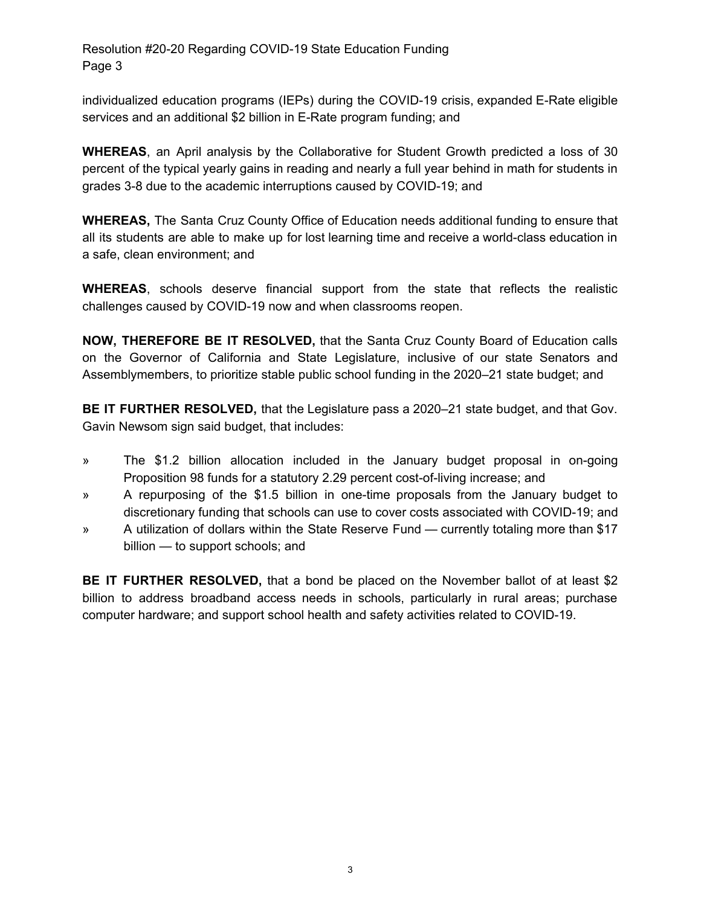Resolution #20-20 Regarding COVID-19 State Education Funding Page 3

individualized education programs (IEPs) during the COVID-19 crisis, expanded E-Rate eligible services and an additional \$2 billion in E-Rate program funding; and

**WHEREAS**, an April analysis by the Collaborative for Student Growth predicted a loss of 30 percent of the typical yearly gains in reading and nearly a full year behind in math for students in grades 3-8 due to the academic interruptions caused by COVID-19; and

**WHEREAS,** The Santa Cruz County Office of Education needs additional funding to ensure that all its students are able to make up for lost learning time and receive a world-class education in a safe, clean environment; and

**WHEREAS**, schools deserve financial support from the state that reflects the realistic challenges caused by COVID-19 now and when classrooms reopen.

**NOW, THEREFORE BE IT RESOLVED,** that the Santa Cruz County Board of Education calls on the Governor of California and State Legislature, inclusive of our state Senators and Assemblymembers, to prioritize stable public school funding in the 2020–21 state budget; and

**BE IT FURTHER RESOLVED,** that the Legislature pass a 2020–21 state budget, and that Gov. Gavin Newsom sign said budget, that includes:

- » The \$1.2 billion allocation included in the January budget proposal in on-going Proposition 98 funds for a statutory 2.29 percent cost-of-living increase; and
- » A repurposing of the \$1.5 billion in one-time proposals from the January budget to discretionary funding that schools can use to cover costs associated with COVID-19; and
- » A utilization of dollars within the State Reserve Fund currently totaling more than \$17 billion — to support schools; and

**BE IT FURTHER RESOLVED,** that a bond be placed on the November ballot of at least \$2 billion to address broadband access needs in schools, particularly in rural areas; purchase computer hardware; and support school health and safety activities related to COVID-19.